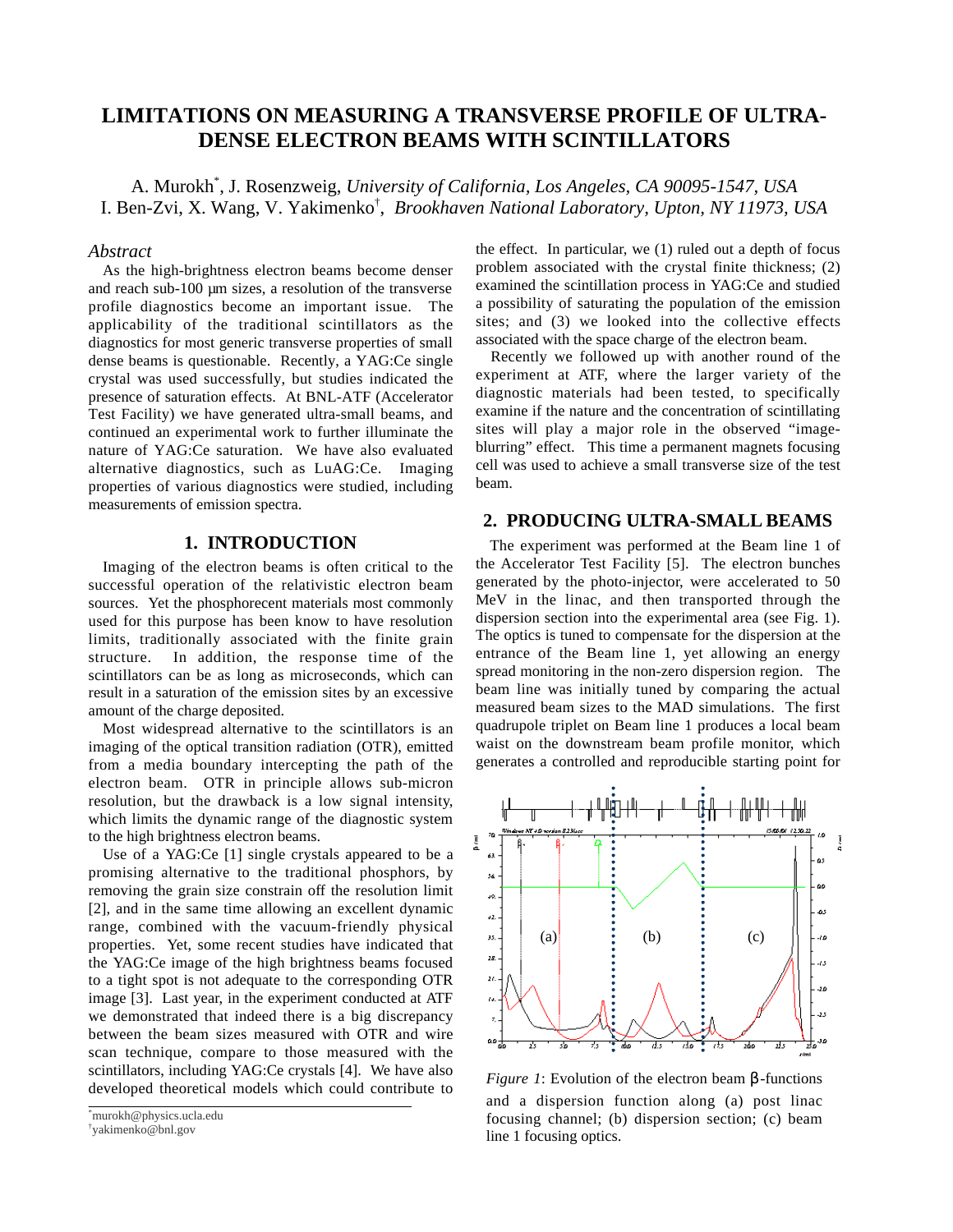# **LIMITATIONS ON MEASURING A TRANSVERSE PROFILE OF ULTRA-DENSE ELECTRON BEAMS WITH SCINTILLATORS**

A. Murokh\* , J. Rosenzweig, *University of California, Los Angeles, CA 90095-1547, USA* I. Ben-Zvi, X. Wang, V. Yakimenko† , *Brookhaven National Laboratory, Upton, NY 11973, USA*

#### *Abstract*

As the high-brightness electron beams become denser and reach sub-100 um sizes, a resolution of the transverse profile diagnostics become an important issue. The applicability of the traditional scintillators as the diagnostics for most generic transverse properties of small dense beams is questionable. Recently, a YAG:Ce single crystal was used successfully, but studies indicated the presence of saturation effects. At BNL-ATF (Accelerator Test Facility) we have generated ultra-small beams, and continued an experimental work to further illuminate the nature of YAG:Ce saturation. We have also evaluated alternative diagnostics, such as LuAG:Ce. Imaging properties of various diagnostics were studied, including measurements of emission spectra.

## **1. INTRODUCTION**

Imaging of the electron beams is often critical to the successful operation of the relativistic electron beam sources. Yet the phosphorecent materials most commonly used for this purpose has been know to have resolution limits, traditionally associated with the finite grain structure. In addition, the response time of the scintillators can be as long as microseconds, which can result in a saturation of the emission sites by an excessive amount of the charge deposited.

Most widespread alternative to the scintillators is an imaging of the optical transition radiation (OTR), emitted from a media boundary intercepting the path of the electron beam. OTR in principle allows sub-micron resolution, but the drawback is a low signal intensity, which limits the dynamic range of the diagnostic system to the high brightness electron beams.

Use of a YAG:Ce [1] single crystals appeared to be a promising alternative to the traditional phosphors, by removing the grain size constrain off the resolution limit [2], and in the same time allowing an excellent dynamic range, combined with the vacuum-friendly physical properties. Yet, some recent studies have indicated that the YAG:Ce image of the high brightness beams focused to a tight spot is not adequate to the corresponding OTR image [3]. Last year, in the experiment conducted at ATF we demonstrated that indeed there is a big discrepancy between the beam sizes measured with OTR and wire scan technique, compare to those measured with the scintillators, including YAG:Ce crystals [4]. We have also developed theoretical models which could contribute to

the effect. In particular, we (1) ruled out a depth of focus problem associated with the crystal finite thickness; (2) examined the scintillation process in YAG:Ce and studied a possibility of saturating the population of the emission sites; and (3) we looked into the collective effects associated with the space charge of the electron beam.

Recently we followed up with another round of the experiment at ATF, where the larger variety of the diagnostic materials had been tested, to specifically examine if the nature and the concentration of scintillating sites will play a major role in the observed "imageblurring" effect. This time a permanent magnets focusing cell was used to achieve a small transverse size of the test beam.

# **2. PRODUCING ULTRA-SMALL BEAMS**

The experiment was performed at the Beam line 1 of the Accelerator Test Facility [5]. The electron bunches generated by the photo-injector, were accelerated to 50 MeV in the linac, and then transported through the dispersion section into the experimental area (see Fig. 1). The optics is tuned to compensate for the dispersion at the entrance of the Beam line 1, yet allowing an energy spread monitoring in the non-zero dispersion region. The beam line was initially tuned by comparing the actual measured beam sizes to the MAD simulations. The first quadrupole triplet on Beam line 1 produces a local beam waist on the downstream beam profile monitor, which generates a controlled and reproducible starting point for



*Figure 1*: Evolution of the electron beam β -functions and a dispersion function along (a) post linac focusing channel; (b) dispersion section; (c) beam line 1 focusing optics.

<sup>\*</sup> murokh@physics.ucla.edu

<sup>†</sup> yakimenko@bnl.gov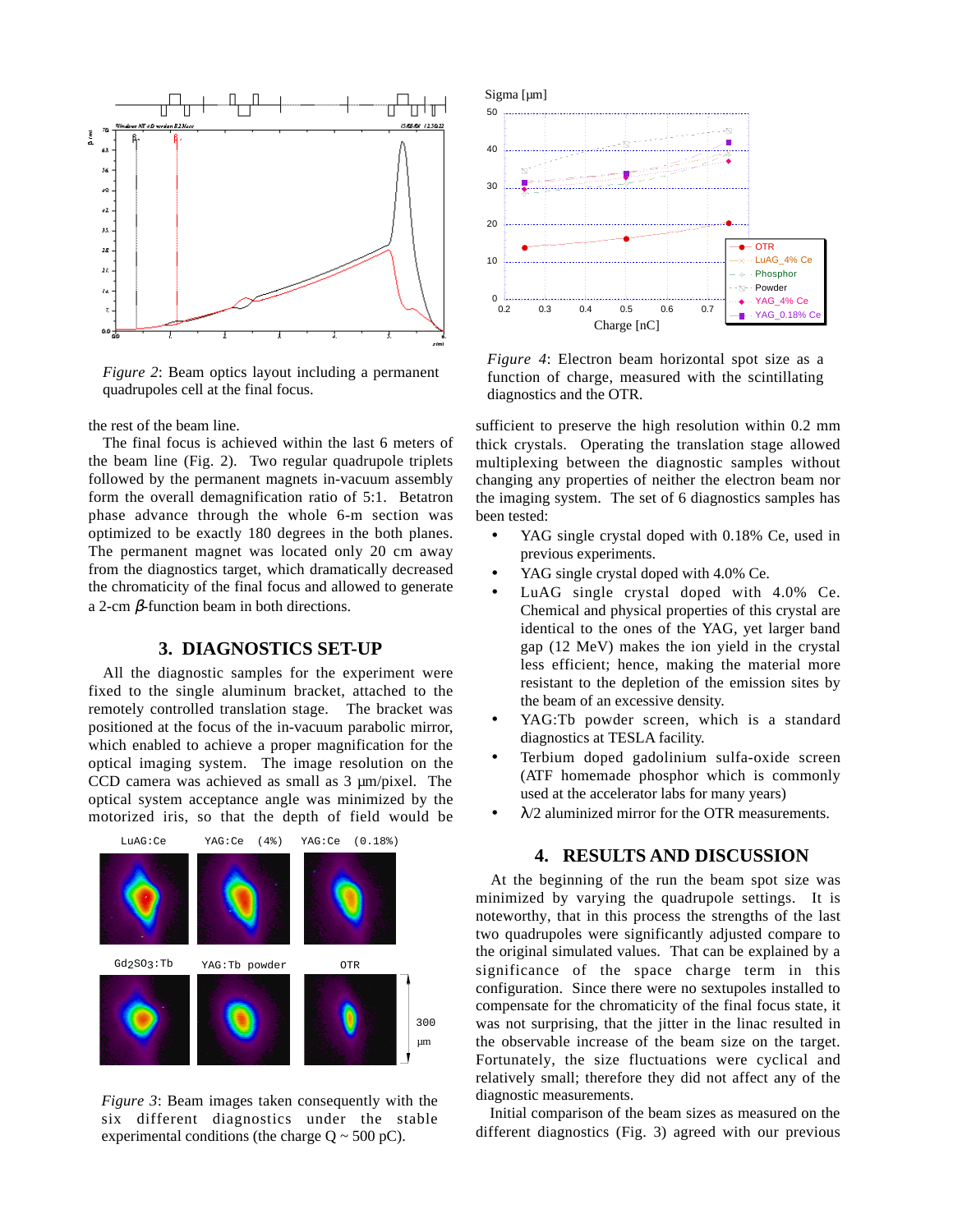

*Figure 2*: Beam optics layout including a permanent quadrupoles cell at the final focus.

the rest of the beam line.

The final focus is achieved within the last 6 meters of the beam line (Fig. 2). Two regular quadrupole triplets followed by the permanent magnets in-vacuum assembly form the overall demagnification ratio of 5:1. Betatron phase advance through the whole 6-m section was optimized to be exactly 180 degrees in the both planes. The permanent magnet was located only 20 cm away from the diagnostics target, which dramatically decreased the chromaticity of the final focus and allowed to generate a 2-cm β-function beam in both directions.

## **3. DIAGNOSTICS SET-UP**

All the diagnostic samples for the experiment were fixed to the single aluminum bracket, attached to the remotely controlled translation stage. The bracket was positioned at the focus of the in-vacuum parabolic mirror, which enabled to achieve a proper magnification for the optical imaging system. The image resolution on the CCD camera was achieved as small as 3 µm/pixel. The optical system acceptance angle was minimized by the motorized iris, so that the depth of field would be



*Figure 3*: Beam images taken consequently with the six different diagnostics under the stable experimental conditions (the charge  $Q \sim 500$  pC).



*Figure 4*: Electron beam horizontal spot size as a function of charge, measured with the scintillating diagnostics and the OTR.

sufficient to preserve the high resolution within 0.2 mm thick crystals. Operating the translation stage allowed multiplexing between the diagnostic samples without changing any properties of neither the electron beam nor the imaging system. The set of 6 diagnostics samples has been tested:

- YAG single crystal doped with 0.18% Ce, used in previous experiments.
- YAG single crystal doped with 4.0% Ce.
- LuAG single crystal doped with 4.0% Ce. Chemical and physical properties of this crystal are identical to the ones of the YAG, yet larger band gap (12 MeV) makes the ion yield in the crystal less efficient; hence, making the material more resistant to the depletion of the emission sites by the beam of an excessive density.
- YAG: Tb powder screen, which is a standard diagnostics at TESLA facility.
- Terbium doped gadolinium sulfa-oxide screen (ATF homemade phosphor which is commonly used at the accelerator labs for many years)
- $\lambda/2$  aluminized mirror for the OTR measurements.

#### **4. RESULTS AND DISCUSSION**

At the beginning of the run the beam spot size was minimized by varying the quadrupole settings. It is noteworthy, that in this process the strengths of the last two quadrupoles were significantly adjusted compare to the original simulated values. That can be explained by a significance of the space charge term in this configuration. Since there were no sextupoles installed to compensate for the chromaticity of the final focus state, it was not surprising, that the jitter in the linac resulted in the observable increase of the beam size on the target. Fortunately, the size fluctuations were cyclical and relatively small; therefore they did not affect any of the diagnostic measurements.

Initial comparison of the beam sizes as measured on the different diagnostics (Fig. 3) agreed with our previous